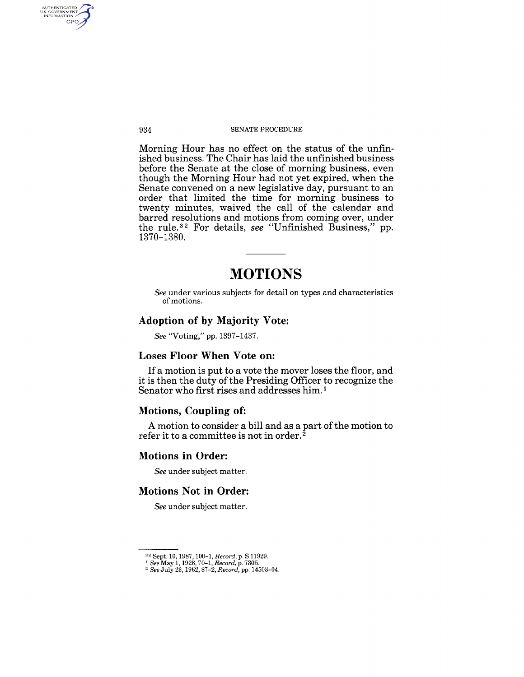#### 934 SENATE PROCEDURE

Morning Hour has no effect on the status of the unfinished business. The Chair has laid the unfinished business before the Senate at the close of morning business, even though the Morning Hour had not yet expired, when the Senate convened on a new legislative day, pursuant to an order that limited the time for morning business to twenty minutes, waived the call of the calendar and barred resolutions and motions from coming over, under the rule.<sup>32</sup> For details, *see* "Unfinished Business," pp. 1370-1380.

# **MOTIONS**

*See* under various subjects for detail on types and characteristics of motions.

# Adoption of by Majority Vote:

*See* "Voting," pp. 1397-1437.

# Loses Floor When Vote on:

If a motion is put to a vote the mover loses the floor, and it is then the duty of the Presiding Officer to recognize the Senator who first rises and addresses him. 1

# Motions, Coupling of:

A motion to consider a bill and as a part of the motion to refer it to a committee is not in order.2

# Motions in Order:

*See* under subject matter.

# Motions Not in Order:

*See* under subject matter.

AUTHENTICATED<br>U.S. GOVERNMENT<br>INFORMATION **GPO** 

<sup>32</sup> Sept. 10, 1987, 100-1, *Record,* p. S 11929. <sup>1</sup>*See* May 1,1928,70-1, *Record,* p. 7305. 2 *See* July 23,1962,87-2, *Record,* pp. 14503-04.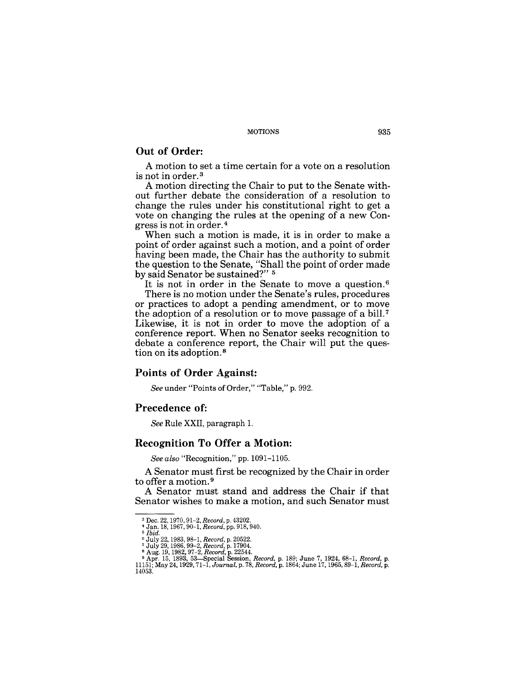#### MOTIONS 935

# **Out of Order:**

A motion to set a time certain for a vote on a resolution is not in order. 3

A motion directing the Chair to put to the Senate without further debate the consideration of a resolution to change the rules under his constitutional right to get a vote on changing the rules at the opening of a new Congress is not in order.4

When such a motion is made, it is in order to make a point of order against such a motion, and a point of order having been made, the Chair has the authority to submit the question to the Senate, "Shall the point of order made by said Senator be sustained?" 5

It is not in order in the Senate to move a question. <sup>6</sup> There is no motion under the Senate's rules, procedures or practices to adopt a pending amendment, or to move the adoption of a resolution or to move passage of a bill. 7 Likewise, it is not in order to move the adoption of a conference report. When no Senator seeks recognition to debate a conference report, the Chair will put the question on its adoption. 8

### **Points of Order Against:**

*See* under "Points of Order," "Table," p. 992.

### **Precedence** of:

*See* Rule XXII, paragraph 1.

### **Recognition To Offer a Motion:**

*See also* "Recognition," pp. 1091-1105.

A Senator must first be recognized by the Chair in order to offer a motion. 9

A Senator must stand and address the Chair if that Senator wishes to make a motion, and such Senator must

<sup>&</sup>lt;sup>3</sup> Dec. 22, 1970, 91–2, *Record*, p. 43202.<br><sup>4</sup> Jan. 18, 1967, 90–1, *Record*, pp. 918, 940.<br><sup>5</sup> *Ibid.* 

<sup>&</sup>lt;sup>6</sup> July 22, 1983, 98–1, *Record*, p. 20522.<br><sup>7</sup> July 29, 1986, 99–2, *Record*, p. 17904.<br><sup>8</sup> Aug. 19, 1982, 97–2, *Record*, p. 22544.<br><sup>9</sup> Apr. 15, 1893, 53—Special Session, *Record*, p. 189; June 7, 1924, 68–1, *Record*, 14053.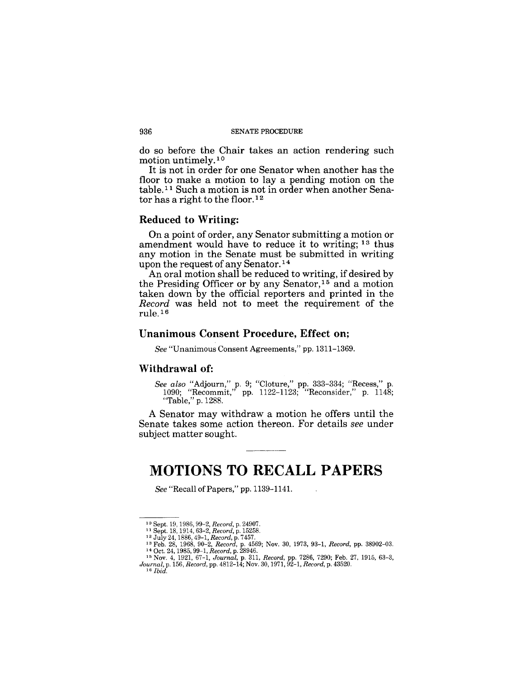#### 936 SENATE PROCEDURE

do so before the Chair takes an action rendering such motion untimely.<sup>10</sup>

It is not in order for one Senator when another has the floor to make a motion to lay a pending motion on the table.<sup>11</sup> Such a motion is not in order when another Senator has a right to the floor. 12

#### **Reduced to Writing:**

On a point of order, any Senator submitting a motion or amendment would have to reduce it to writing; 13 thus any motion in the Senate must be submitted in writing upon the request of any Senator.<sup>14</sup>

An oral motion shall be reduced to writing, if desired by the Presiding Officer or by any Senator,<sup>15</sup> and a motion taken down by the official reporters and printed in the *Record* was held not to meet the requirement of the rule. 16

# **Unanimous Consent Procedure, Effect on;**

*See* "Unanimous Consent Agreements," pp. 1311-1369.

#### Withdrawal of:

*See also* "Adjourn," p. 9; "Cloture," pp. 333-334; "Recess," p. 1090; "Recommit," pp. 1122-1123; "Reconsider," p. 1148; "Table," p. 1288.

A Senator may withdraw a motion he offers until the Senate takes some action thereon. For details *see* under subject matter sought.

# **MOTIONS TO RECALL PAPERS**

*See* "Recall of Papers," pp. 1139-1141.

<sup>10</sup> Sept. 19, 1986, 99-2, *Record,* p. 24907.

<sup>&</sup>lt;sup>11</sup> Sept. 18, 1914, 63–2, *Record*, p. 15258.<br><sup>12</sup> July 24, 1886, 49–1, *Record*, p. 7457.<br><sup>13</sup> Feb. 28, 1968, 90–2, *Record*, p. 4569; Nov. 30, 1973, 93–1, *Record*, pp. 38902–03.<br><sup>14</sup> Oct. 24, 1985, 99–1, *Record*, p. 2

<sup>15</sup> Nov. 4, 1921, 67-1, *Journal,* p. 3ll, *Record,* pp. 7286, 7290; Feb. 27, 1915, 63-3, *Journal,* p. 156, *Record,* pp. 4812-14; Nov. 30, 1971, 92-1, *Record,* p. 43520. *16 Ibid.*